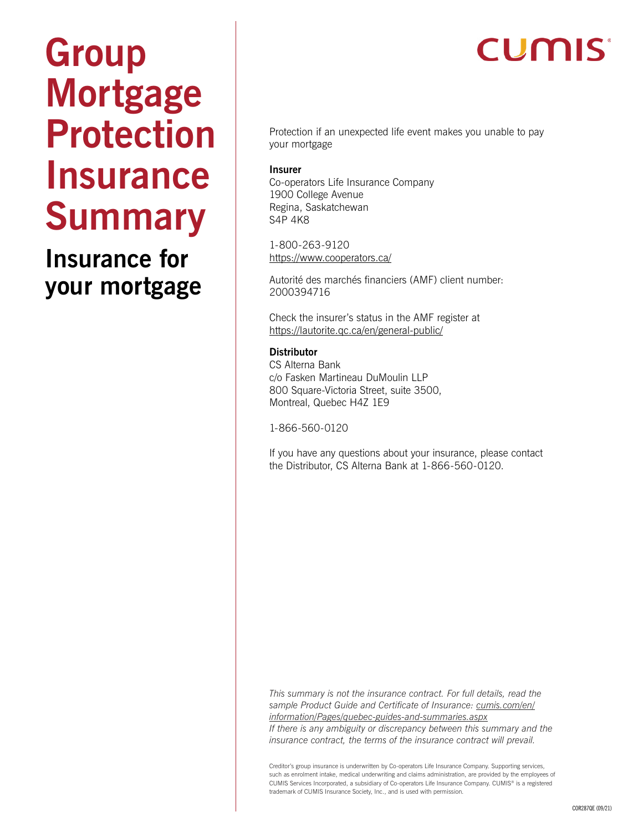# **Group Mortgage Protection Insurance Summary**

**Insurance for your mortgage**

# **CUMIS**

Protection if an unexpected life event makes you unable to pay your mortgage

#### **Insurer**

Co-operators Life Insurance Company 1900 College Avenue Regina, Saskatchewan S4P 4K8

1-800-263-9120 <https://www.cooperators.ca/>

Autorité des marchés financiers (AMF) client number: 2000394716

Check the insurer's status in the AMF register at <https://lautorite.qc.ca/en/general-public/>

#### **Distributor**

CS Alterna Bank c/o Fasken Martineau DuMoulin LLP 800 Square-Victoria Street, suite 3500, Montreal, Quebec H4Z 1E9

1-866-560-0120

If you have any questions about your insurance, please contact the Distributor, CS Alterna Bank at 1-866-560-0120.

*This summary is not the insurance contract. For full details, read the sample Product Guide and Certificate of Insurance: [cumis.com/en/](http://cumis.com/en/information/Pages/quebec-guides-and-summaries.aspx) [information/Pages/quebec-guides-and-summaries.aspx](http://cumis.com/en/information/Pages/quebec-guides-and-summaries.aspx) If there is any ambiguity or discrepancy between this summary and the insurance contract, the terms of the insurance contract will prevail.*

Creditor's group insurance is underwritten by Co-operators Life Insurance Company. Supporting services, such as enrolment intake, medical underwriting and claims administration, are provided by the employees of CUMIS Services Incorporated, a subsidiary of Co-operators Life Insurance Company. CUMIS® is a registered trademark of CUMIS Insurance Society, Inc., and is used with permission.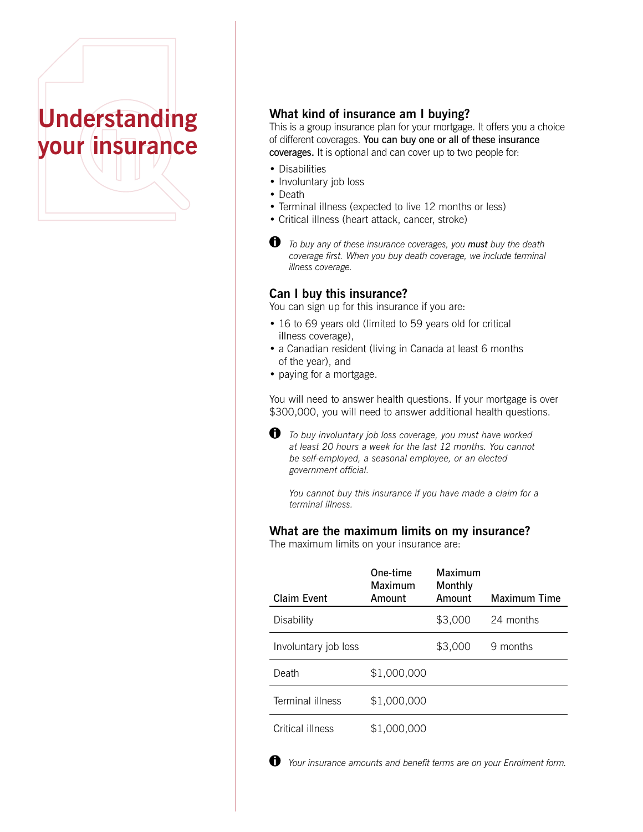# **Understanding your insurance**

# **What kind of insurance am I buying?**

This is a group insurance plan for your mortgage. It offers you a choice of different coverages. You can buy one or all of these insurance coverages. It is optional and can cover up to two people for:

- Disabilities
- Involuntary job loss
- Death
- Terminal illness (expected to live 12 months or less)
- Critical illness (heart attack, cancer, stroke)
- *To buy any of these insurance coverages, you must buy the death coverage first. When you buy death coverage, we include terminal illness coverage.*

#### **Can I buy this insurance?**

You can sign up for this insurance if you are:

- 16 to 69 years old (limited to 59 years old for critical illness coverage),
- a Canadian resident (living in Canada at least 6 months of the year), and
- paying for a mortgage.

You will need to answer health questions. If your mortgage is over \$300,000, you will need to answer additional health questions.

 *To buy involuntary job loss coverage, you must have worked at least 20 hours a week for the last 12 months. You cannot be self-employed, a seasonal employee, or an elected government official.*

*You cannot buy this insurance if you have made a claim for a terminal illness.*

#### **What are the maximum limits on my insurance?**

The maximum limits on your insurance are:

| Claim Event          | One-time<br>Maximum<br>Amount | Maximum<br>Monthly<br>Amount | Maximum Time |
|----------------------|-------------------------------|------------------------------|--------------|
| Disability           |                               | \$3,000                      | 24 months    |
| Involuntary job loss |                               | \$3,000                      | 9 months     |
| Death                | \$1,000,000                   |                              |              |
| Terminal illness     | \$1,000,000                   |                              |              |
| Critical illness     | \$1,000,000                   |                              |              |

 *Your insurance amounts and benefit terms are on your Enrolment form.*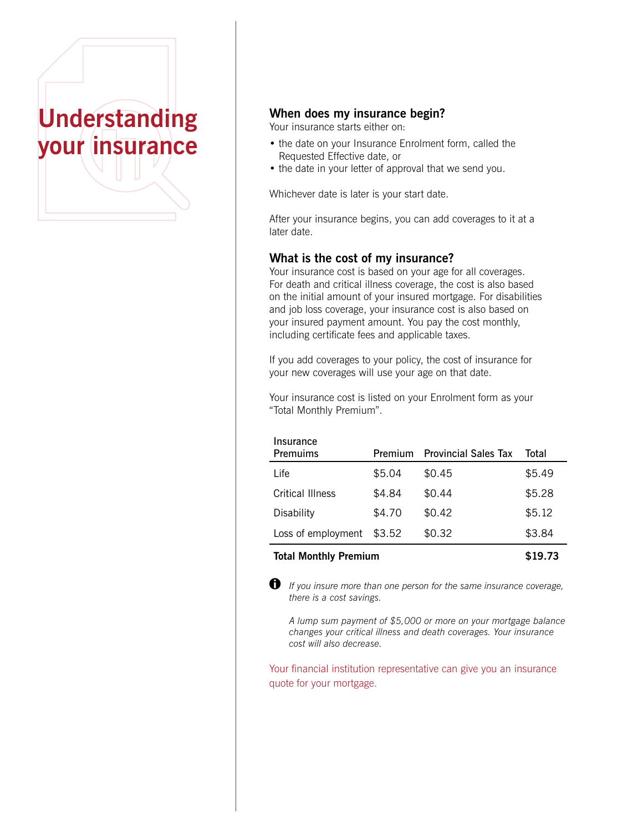

# **When does my insurance begin?**

Your insurance starts either on:

- the date on your Insurance Enrolment form, called the Requested Effective date, or
- the date in your letter of approval that we send you.

Whichever date is later is your start date.

After your insurance begins, you can add coverages to it at a later date.

### **What is the cost of my insurance?**

Your insurance cost is based on your age for all coverages. For death and critical illness coverage, the cost is also based on the initial amount of your insured mortgage. For disabilities and job loss coverage, your insurance cost is also based on your insured payment amount. You pay the cost monthly, including certificate fees and applicable taxes.

If you add coverages to your policy, the cost of insurance for your new coverages will use your age on that date.

Your insurance cost is listed on your Enrolment form as your "Total Monthly Premium".

| Insurance<br>Premuims | Premium | <b>Provincial Sales Tax</b> | Total  |
|-----------------------|---------|-----------------------------|--------|
| I ife                 | \$5.04  | \$0.45                      | \$5.49 |
| Critical Illness      | \$4.84  | \$0.44                      | \$5.28 |
| Disability            | \$4.70  | \$0.42                      | \$5.12 |
| Loss of employment    | \$3.52  | \$0.32                      | \$3.84 |
|                       |         |                             |        |

### **Total Monthly Premium \$19.73**

 *If you insure more than one person for the same insurance coverage, there is a cost savings.*

*A lump sum payment of \$5,000 or more on your mortgage balance changes your critical illness and death coverages. Your insurance cost will also decrease.*

Your financial institution representative can give you an insurance quote for your mortgage.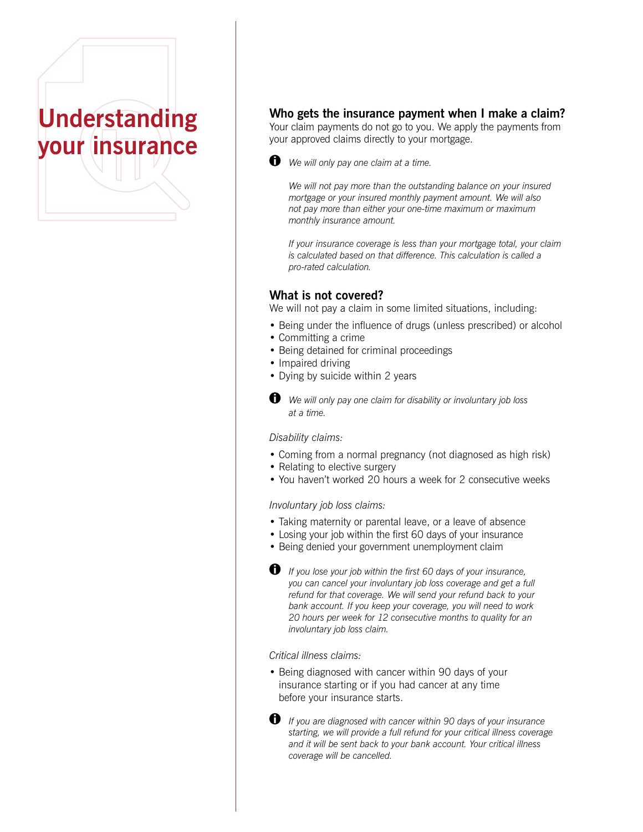# **Understanding your insurance**

# **Who gets the insurance payment when I make a claim?**

Your claim payments do not go to you. We apply the payments from your approved claims directly to your mortgage.



 $\bullet$  *We will only pay one claim at a time.* 

*We will not pay more than the outstanding balance on your insured mortgage or your insured monthly payment amount. We will also not pay more than either your one-time maximum or maximum monthly insurance amount.*

*If your insurance coverage is less than your mortgage total, your claim is calculated based on that difference. This calculation is called a pro-rated calculation.*

### **What is not covered?**

We will not pay a claim in some limited situations, including:

- Being under the influence of drugs (unless prescribed) or alcohol
- Committing a crime
- Being detained for criminal proceedings
- Impaired driving
- Dying by suicide within 2 years
- $\bigoplus$  We will only pay one claim for disability or involuntary job loss *at a time.*

#### *Disability claims:*

- Coming from a normal pregnancy (not diagnosed as high risk)
- Relating to elective surgery
- You haven't worked 20 hours a week for 2 consecutive weeks

#### *Involuntary job loss claims:*

- Taking maternity or parental leave, or a leave of absence
- Losing your job within the first 60 days of your insurance
- Being denied your government unemployment claim
- *If you lose your job within the first 60 days of your insurance, you can cancel your involuntary job loss coverage and get a full refund for that coverage. We will send your refund back to your bank account. If you keep your coverage, you will need to work 20 hours per week for 12 consecutive months to quality for an involuntary job loss claim.*

#### *Critical illness claims:*

• Being diagnosed with cancer within 90 days of your insurance starting or if you had cancer at any time before your insurance starts.



 $\bullet$  *If you are diagnosed with cancer within 90 days of your insurance starting, we will provide a full refund for your critical illness coverage and it will be sent back to your bank account. Your critical illness coverage will be cancelled.*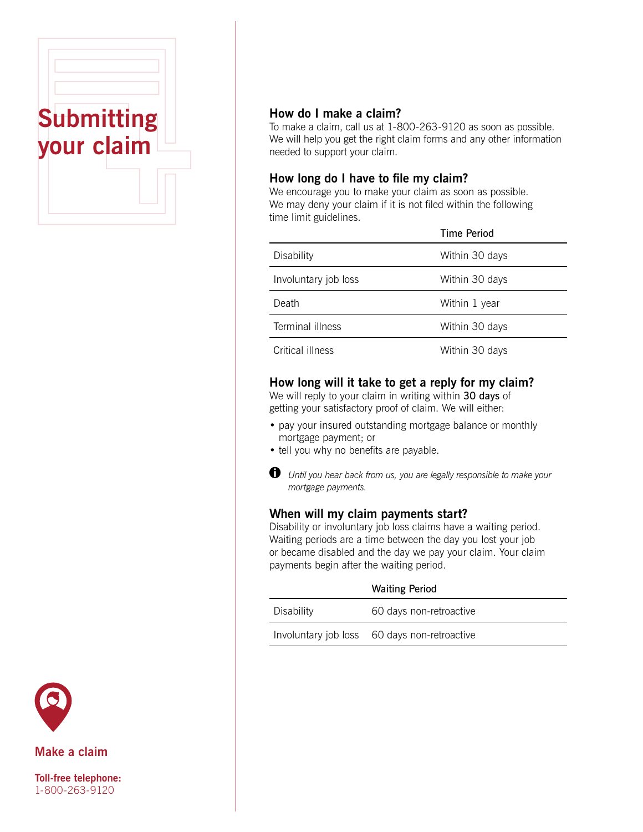



To make a claim, call us at 1-800-263-9120 as soon as possible. We will help you get the right claim forms and any other information needed to support your claim.

# **How long do I have to file my claim?**

We encourage you to make your claim as soon as possible. We may deny your claim if it is not filed within the following time limit guidelines.

|                      | <b>Time Period</b> |
|----------------------|--------------------|
| Disability           | Within 30 days     |
| Involuntary job loss | Within 30 days     |
| Death                | Within 1 year      |
| Terminal illness     | Within 30 days     |
| Critical illness     | Within 30 days     |

# **How long will it take to get a reply for my claim?**

We will reply to your claim in writing within 30 days of getting your satisfactory proof of claim. We will either:

- pay your insured outstanding mortgage balance or monthly mortgage payment; or
- tell you why no benefits are payable.



 *Until you hear back from us, you are legally responsible to make your mortgage payments.*

# **When will my claim payments start?**

Disability or involuntary job loss claims have a waiting period. Waiting periods are a time between the day you lost your job or became disabled and the day we pay your claim. Your claim payments begin after the waiting period.

|            | <b>Waiting Period</b>                        |
|------------|----------------------------------------------|
| Disability | 60 days non-retroactive                      |
|            | Involuntary job loss 60 days non-retroactive |



**Make a claim**

**Toll-free telephone:**  1-800-263-9120